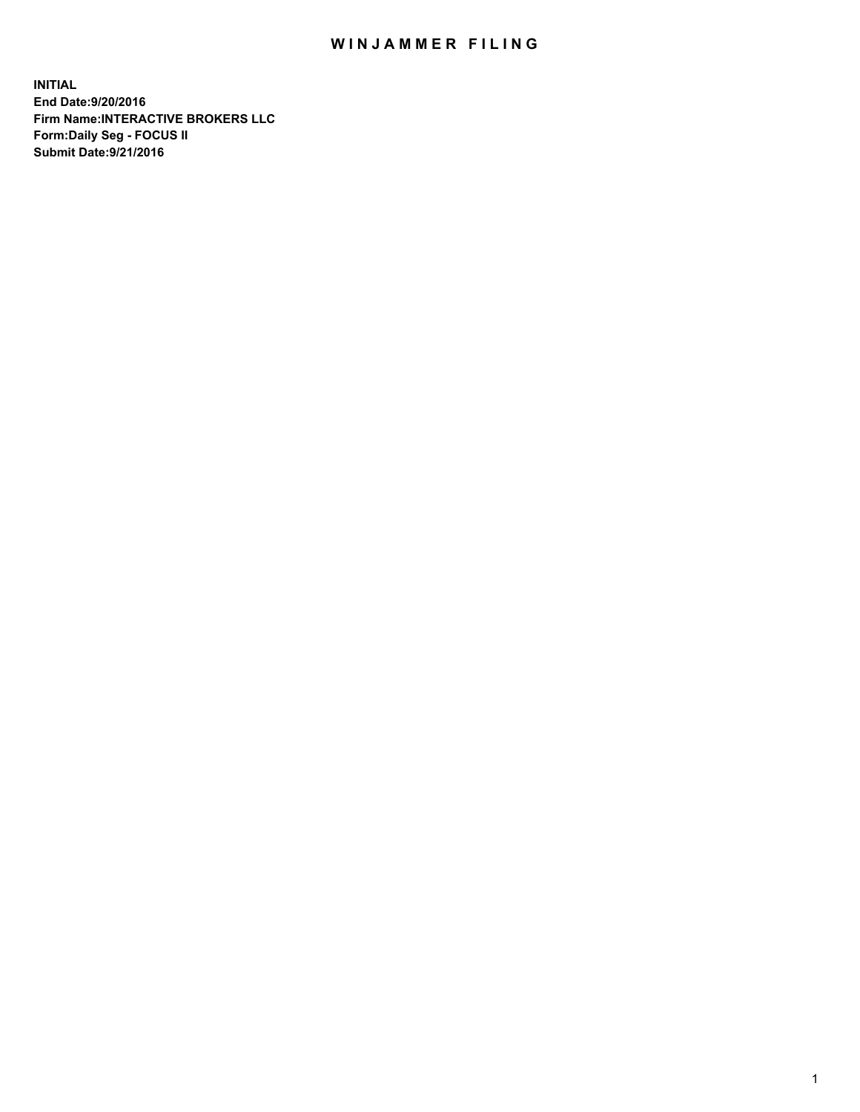## WIN JAMMER FILING

**INITIAL End Date:9/20/2016 Firm Name:INTERACTIVE BROKERS LLC Form:Daily Seg - FOCUS II Submit Date:9/21/2016**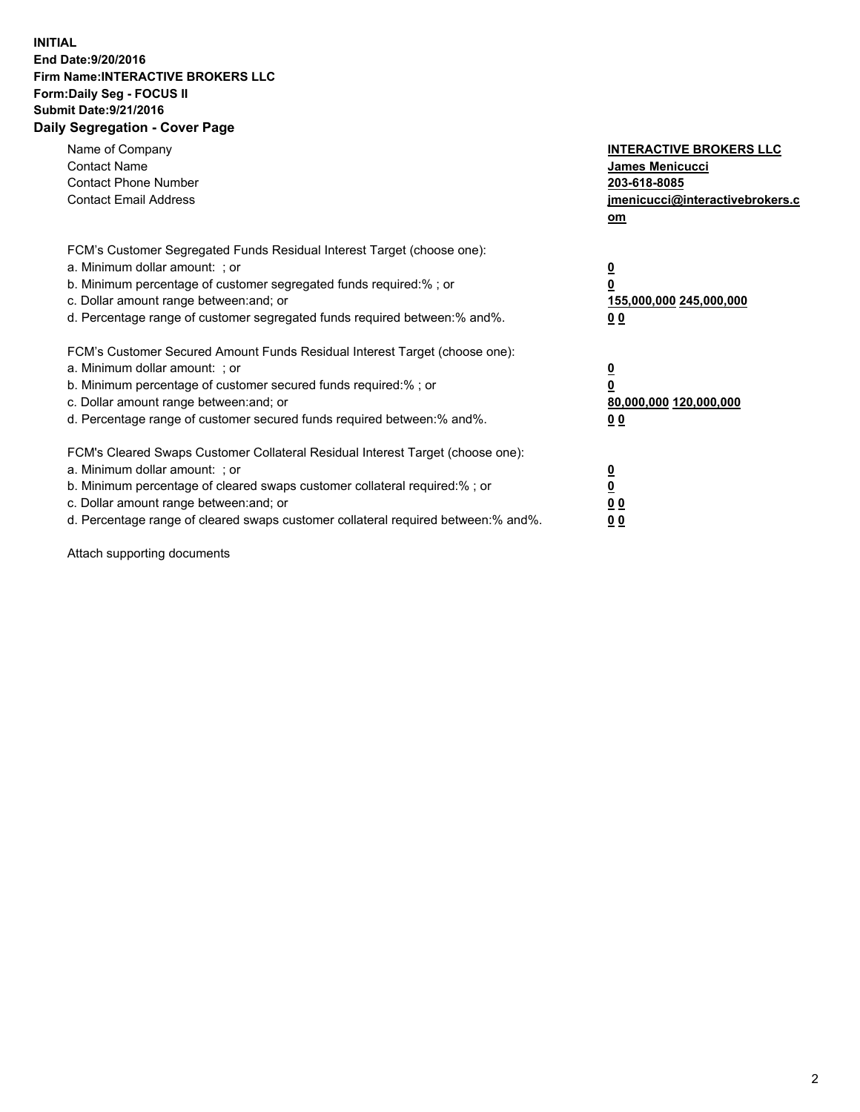## **INITIAL End Date:9/20/2016 Firm Name:INTERACTIVE BROKERS LLC Form:Daily Seg - FOCUS II Submit Date:9/21/2016 Daily Segregation - Cover Page**

| Name of Company<br><b>Contact Name</b><br><b>Contact Phone Number</b><br><b>Contact Email Address</b>                                                                                                                                                                                                                          | <b>INTERACTIVE BROKERS LLC</b><br><b>James Menicucci</b><br>203-618-8085<br>jmenicucci@interactivebrokers.c<br>om |
|--------------------------------------------------------------------------------------------------------------------------------------------------------------------------------------------------------------------------------------------------------------------------------------------------------------------------------|-------------------------------------------------------------------------------------------------------------------|
| FCM's Customer Segregated Funds Residual Interest Target (choose one):<br>a. Minimum dollar amount: ; or<br>b. Minimum percentage of customer segregated funds required:% ; or<br>c. Dollar amount range between: and; or<br>d. Percentage range of customer segregated funds required between: % and %.                       | $\overline{\mathbf{0}}$<br>0<br>155,000,000 245,000,000<br>00                                                     |
| FCM's Customer Secured Amount Funds Residual Interest Target (choose one):<br>a. Minimum dollar amount: ; or<br>b. Minimum percentage of customer secured funds required:%; or<br>c. Dollar amount range between: and; or<br>d. Percentage range of customer secured funds required between: % and %.                          | $\overline{\mathbf{0}}$<br>0<br>80,000,000 120,000,000<br>0 <sub>0</sub>                                          |
| FCM's Cleared Swaps Customer Collateral Residual Interest Target (choose one):<br>a. Minimum dollar amount: ; or<br>b. Minimum percentage of cleared swaps customer collateral required:% ; or<br>c. Dollar amount range between: and; or<br>d. Percentage range of cleared swaps customer collateral required between:% and%. | $\overline{\mathbf{0}}$<br>$\underline{\mathbf{0}}$<br>0 <sub>0</sub><br>0 <sub>0</sub>                           |

Attach supporting documents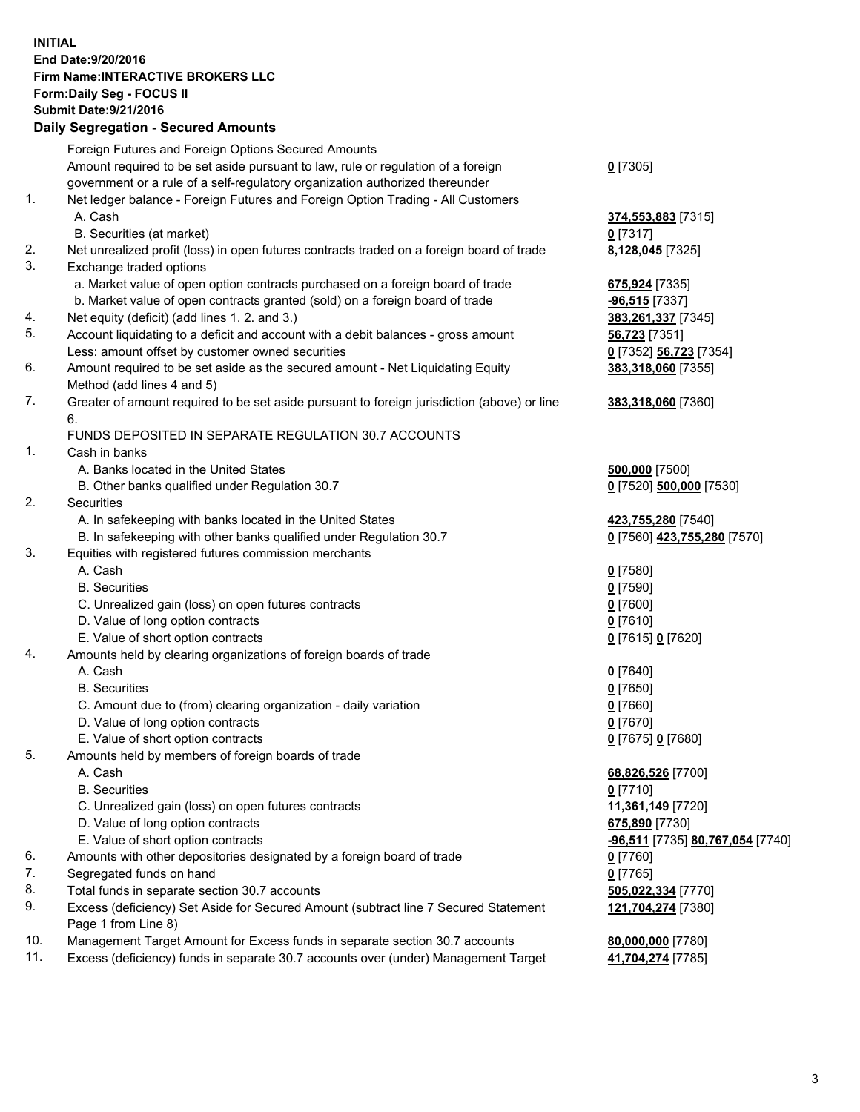## **INITIAL End Date:9/20/2016 Firm Name:INTERACTIVE BROKERS LLC Form:Daily Seg - FOCUS II Submit Date:9/21/2016 Daily Segregation - Secured Amounts**

|     | Dany Ocgregation - Oceaned Announts                                                         |                                  |
|-----|---------------------------------------------------------------------------------------------|----------------------------------|
|     | Foreign Futures and Foreign Options Secured Amounts                                         |                                  |
|     | Amount required to be set aside pursuant to law, rule or regulation of a foreign            | $0$ [7305]                       |
|     | government or a rule of a self-regulatory organization authorized thereunder                |                                  |
| 1.  | Net ledger balance - Foreign Futures and Foreign Option Trading - All Customers             |                                  |
|     | A. Cash                                                                                     | 374,553,883 [7315]               |
|     | B. Securities (at market)                                                                   | $0$ [7317]                       |
| 2.  | Net unrealized profit (loss) in open futures contracts traded on a foreign board of trade   | 8,128,045 [7325]                 |
| 3.  | Exchange traded options                                                                     |                                  |
|     | a. Market value of open option contracts purchased on a foreign board of trade              | 675,924 [7335]                   |
|     | b. Market value of open contracts granted (sold) on a foreign board of trade                | $-96,515$ [7337]                 |
| 4.  | Net equity (deficit) (add lines 1.2. and 3.)                                                | 383,261,337 [7345]               |
| 5.  | Account liquidating to a deficit and account with a debit balances - gross amount           | <b>56,723</b> [7351]             |
|     | Less: amount offset by customer owned securities                                            | 0 [7352] 56,723 [7354]           |
| 6.  | Amount required to be set aside as the secured amount - Net Liquidating Equity              | 383,318,060 [7355]               |
|     | Method (add lines 4 and 5)                                                                  |                                  |
| 7.  |                                                                                             |                                  |
|     | Greater of amount required to be set aside pursuant to foreign jurisdiction (above) or line | 383,318,060 [7360]               |
|     | 6.                                                                                          |                                  |
|     | FUNDS DEPOSITED IN SEPARATE REGULATION 30.7 ACCOUNTS                                        |                                  |
| 1.  | Cash in banks                                                                               |                                  |
|     | A. Banks located in the United States                                                       | 500,000 [7500]                   |
|     | B. Other banks qualified under Regulation 30.7                                              | 0 [7520] 500,000 [7530]          |
| 2.  | Securities                                                                                  |                                  |
|     | A. In safekeeping with banks located in the United States                                   | 423,755,280 [7540]               |
|     | B. In safekeeping with other banks qualified under Regulation 30.7                          | 0 [7560] 423,755,280 [7570]      |
| 3.  | Equities with registered futures commission merchants                                       |                                  |
|     | A. Cash                                                                                     | $0$ [7580]                       |
|     | <b>B.</b> Securities                                                                        | $0$ [7590]                       |
|     | C. Unrealized gain (loss) on open futures contracts                                         | $0$ [7600]                       |
|     | D. Value of long option contracts                                                           | $0$ [7610]                       |
|     | E. Value of short option contracts                                                          | 0 [7615] 0 [7620]                |
| 4.  | Amounts held by clearing organizations of foreign boards of trade                           |                                  |
|     | A. Cash                                                                                     | $0$ [7640]                       |
|     | <b>B.</b> Securities                                                                        | $0$ [7650]                       |
|     | C. Amount due to (from) clearing organization - daily variation                             | $0$ [7660]                       |
|     | D. Value of long option contracts                                                           | $0$ [7670]                       |
|     | E. Value of short option contracts                                                          | 0 [7675] 0 [7680]                |
| 5.  | Amounts held by members of foreign boards of trade                                          |                                  |
|     | A. Cash                                                                                     | 68,826,526 [7700]                |
|     | <b>B.</b> Securities                                                                        | $0$ [7710]                       |
|     | C. Unrealized gain (loss) on open futures contracts                                         | 11,361,149 [7720]                |
|     | D. Value of long option contracts                                                           | 675,890 [7730]                   |
|     | E. Value of short option contracts                                                          | -96,511 [7735] 80,767,054 [7740] |
| 6.  | Amounts with other depositories designated by a foreign board of trade                      | $0$ [7760]                       |
| 7.  | Segregated funds on hand                                                                    | $0$ [7765]                       |
| 8.  | Total funds in separate section 30.7 accounts                                               | 505,022,334 [7770]               |
| 9.  | Excess (deficiency) Set Aside for Secured Amount (subtract line 7 Secured Statement         | 121,704,274 [7380]               |
|     | Page 1 from Line 8)                                                                         |                                  |
| 10. | Management Target Amount for Excess funds in separate section 30.7 accounts                 | 80,000,000 [7780]                |
| 11. | Excess (deficiency) funds in separate 30.7 accounts over (under) Management Target          | 41,704,274 [7785]                |
|     |                                                                                             |                                  |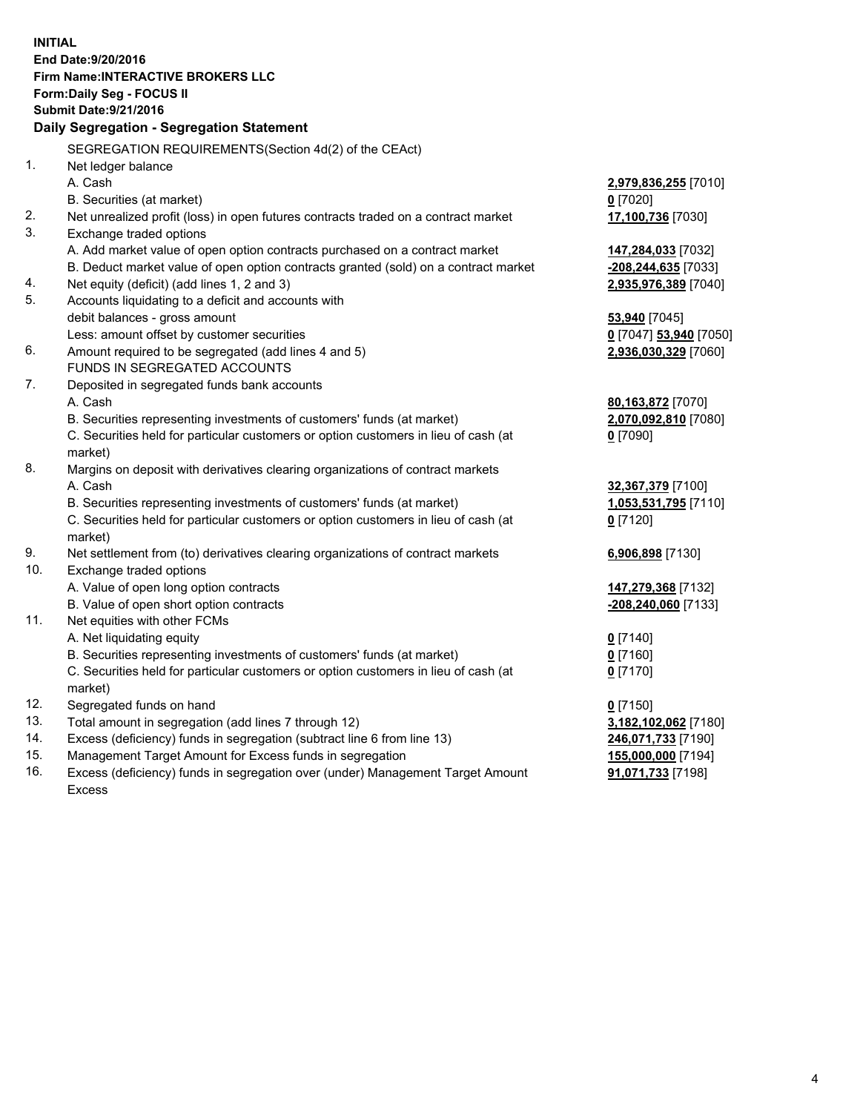**INITIAL End Date:9/20/2016 Firm Name:INTERACTIVE BROKERS LLC Form:Daily Seg - FOCUS II Submit Date:9/21/2016 Daily Segregation - Segregation Statement** SEGREGATION REQUIREMENTS(Section 4d(2) of the CEAct) 1. Net ledger balance A. Cash **2,979,836,255** [7010] B. Securities (at market) **0** [7020] 2. Net unrealized profit (loss) in open futures contracts traded on a contract market **17,100,736** [7030] 3. Exchange traded options A. Add market value of open option contracts purchased on a contract market **147,284,033** [7032] B. Deduct market value of open option contracts granted (sold) on a contract market **-208,244,635** [7033] 4. Net equity (deficit) (add lines 1, 2 and 3) **2,935,976,389** [7040] 5. Accounts liquidating to a deficit and accounts with debit balances - gross amount **53,940** [7045] Less: amount offset by customer securities **0** [7047] **53,940** [7050] 6. Amount required to be segregated (add lines 4 and 5) **2,936,030,329** [7060] FUNDS IN SEGREGATED ACCOUNTS 7. Deposited in segregated funds bank accounts A. Cash **80,163,872** [7070] B. Securities representing investments of customers' funds (at market) **2,070,092,810** [7080] C. Securities held for particular customers or option customers in lieu of cash (at market) **0** [7090] 8. Margins on deposit with derivatives clearing organizations of contract markets A. Cash **32,367,379** [7100] B. Securities representing investments of customers' funds (at market) **1,053,531,795** [7110] C. Securities held for particular customers or option customers in lieu of cash (at market) **0** [7120] 9. Net settlement from (to) derivatives clearing organizations of contract markets **6,906,898** [7130] 10. Exchange traded options A. Value of open long option contracts **147,279,368** [7132] B. Value of open short option contracts **-208,240,060** [7133] 11. Net equities with other FCMs A. Net liquidating equity **0** [7140] B. Securities representing investments of customers' funds (at market) **0** [7160] C. Securities held for particular customers or option customers in lieu of cash (at market) **0** [7170] 12. Segregated funds on hand **0** [7150] 13. Total amount in segregation (add lines 7 through 12) **3,182,102,062** [7180] 14. Excess (deficiency) funds in segregation (subtract line 6 from line 13) **246,071,733** [7190] 15. Management Target Amount for Excess funds in segregation **155,000,000** [7194] **91,071,733** [7198]

16. Excess (deficiency) funds in segregation over (under) Management Target Amount Excess